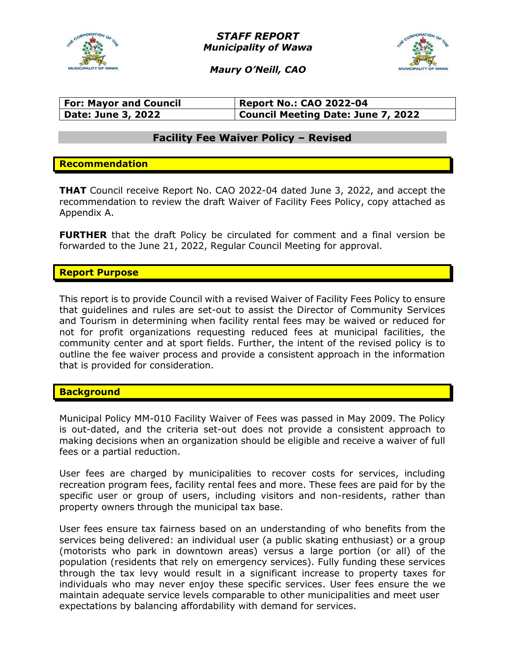

*STAFF REPORT Municipality of Wawa*



*Maury O'Neill, CAO*

| <b>For: Mayor and Council</b> | <b>Report No.: CAO 2022-04</b>     |
|-------------------------------|------------------------------------|
| <b>Date: June 3, 2022</b>     | Council Meeting Date: June 7, 2022 |

# **Facility Fee Waiver Policy – Revised**

## **Recommendation**

**THAT** Council receive Report No. CAO 2022-04 dated June 3, 2022, and accept the recommendation to review the draft Waiver of Facility Fees Policy, copy attached as Appendix A.

**FURTHER** that the draft Policy be circulated for comment and a final version be forwarded to the June 21, 2022, Regular Council Meeting for approval.

## **Report Purpose**

This report is to provide Council with a revised Waiver of Facility Fees Policy to ensure that guidelines and rules are set-out to assist the Director of Community Services and Tourism in determining when facility rental fees may be waived or reduced for not for profit organizations requesting reduced fees at municipal facilities, the community center and at sport fields. Further, the intent of the revised policy is to outline the fee waiver process and provide a consistent approach in the information that is provided for consideration.

### **Background**

Municipal Policy MM-010 Facility Waiver of Fees was passed in May 2009. The Policy is out-dated, and the criteria set-out does not provide a consistent approach to making decisions when an organization should be eligible and receive a waiver of full fees or a partial reduction.

User fees are charged by municipalities to recover costs for services, including recreation program fees, facility rental fees and more. These fees are paid for by the specific user or group of users, including visitors and non-residents, rather than property owners through the municipal tax base.

User fees ensure tax fairness based on an understanding of who benefits from the services being delivered: an individual user (a public skating enthusiast) or a group (motorists who park in downtown areas) versus a large portion (or all) of the population (residents that rely on emergency services). Fully funding these services through the tax levy would result in a significant increase to property taxes for individuals who may never enjoy these specific services. User fees ensure the we maintain adequate service levels comparable to other municipalities and meet user expectations by balancing affordability with demand for services.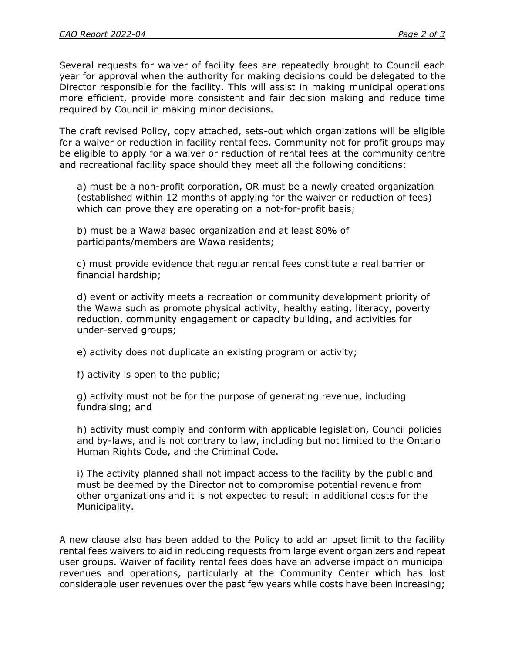Several requests for waiver of facility fees are repeatedly brought to Council each year for approval when the authority for making decisions could be delegated to the Director responsible for the facility. This will assist in making municipal operations more efficient, provide more consistent and fair decision making and reduce time required by Council in making minor decisions.

The draft revised Policy, copy attached, sets-out which organizations will be eligible for a waiver or reduction in facility rental fees. Community not for profit groups may be eligible to apply for a waiver or reduction of rental fees at the community centre and recreational facility space should they meet all the following conditions:

a) must be a non-profit corporation, OR must be a newly created organization (established within 12 months of applying for the waiver or reduction of fees) which can prove they are operating on a not-for-profit basis;

b) must be a Wawa based organization and at least 80% of participants/members are Wawa residents;

c) must provide evidence that regular rental fees constitute a real barrier or financial hardship;

d) event or activity meets a recreation or community development priority of the Wawa such as promote physical activity, healthy eating, literacy, poverty reduction, community engagement or capacity building, and activities for under-served groups;

e) activity does not duplicate an existing program or activity;

f) activity is open to the public;

g) activity must not be for the purpose of generating revenue, including fundraising; and

h) activity must comply and conform with applicable legislation, Council policies and by-laws, and is not contrary to law, including but not limited to the Ontario Human Rights Code, and the Criminal Code.

i) The activity planned shall not impact access to the facility by the public and must be deemed by the Director not to compromise potential revenue from other organizations and it is not expected to result in additional costs for the Municipality.

A new clause also has been added to the Policy to add an upset limit to the facility rental fees waivers to aid in reducing requests from large event organizers and repeat user groups. Waiver of facility rental fees does have an adverse impact on municipal revenues and operations, particularly at the Community Center which has lost considerable user revenues over the past few years while costs have been increasing;